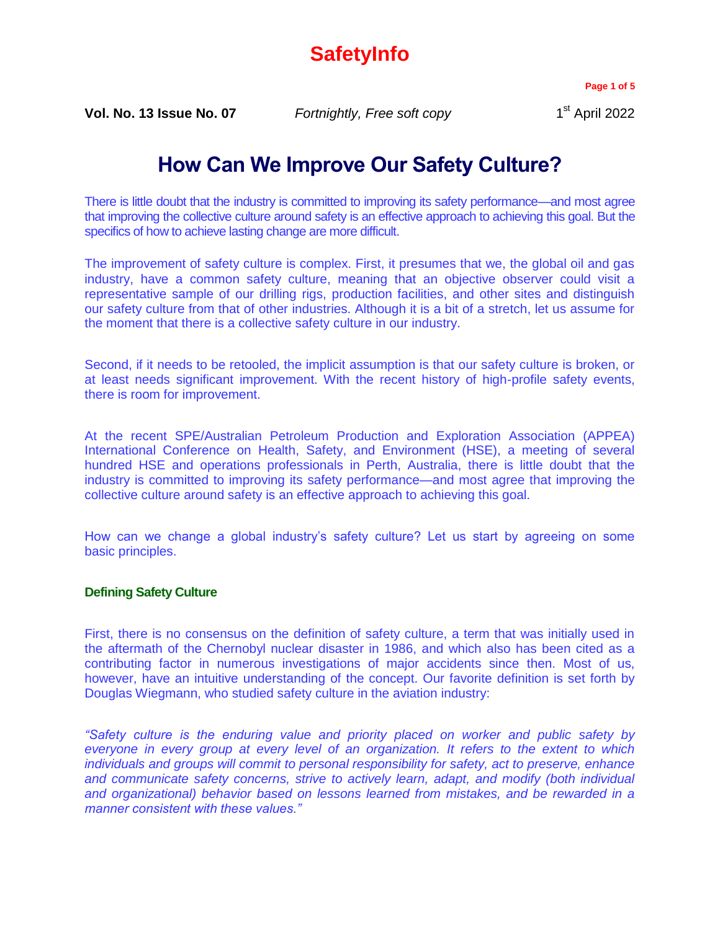# **SafetyInfo**

**Page 1 of 5**

**Vol. No. 13 Issue No. 07** *Fortnightly, Free soft copy* 1

# **How Can We Improve Our Safety Culture?**

There is little doubt that the industry is committed to improving its safety performance—and most agree that improving the collective culture around safety is an effective approach to achieving this goal. But the specifics of how to achieve lasting change are more difficult.

The improvement of safety culture is complex. First, it presumes that we, the global oil and gas industry, have a common safety culture, meaning that an objective observer could visit a representative sample of our drilling rigs, production facilities, and other sites and distinguish our safety culture from that of other industries. Although it is a bit of a stretch, let us assume for the moment that there is a collective safety culture in our industry.

Second, if it needs to be retooled, the implicit assumption is that our safety culture is broken, or at least needs significant improvement. With the recent history of high-profile safety events, there is room for improvement.

At the recent SPE/Australian Petroleum Production and Exploration Association (APPEA) International Conference on Health, Safety, and Environment (HSE), a meeting of several hundred HSE and operations professionals in Perth, Australia, there is little doubt that the industry is committed to improving its safety performance—and most agree that improving the collective culture around safety is an effective approach to achieving this goal.

How can we change a global industry's safety culture? Let us start by agreeing on some basic principles.

## **Defining Safety Culture**

First, there is no consensus on the definition of safety culture, a term that was initially used in the aftermath of the Chernobyl nuclear disaster in 1986, and which also has been cited as a contributing factor in numerous investigations of major accidents since then. Most of us, however, have an intuitive understanding of the concept. Our favorite definition is set forth by Douglas Wiegmann, who studied safety culture in the aviation industry:

*"Safety culture is the enduring value and priority placed on worker and public safety by everyone in every group at every level of an organization. It refers to the extent to which individuals and groups will commit to personal responsibility for safety, act to preserve, enhance and communicate safety concerns, strive to actively learn, adapt, and modify (both individual and organizational) behavior based on lessons learned from mistakes, and be rewarded in a manner consistent with these values."*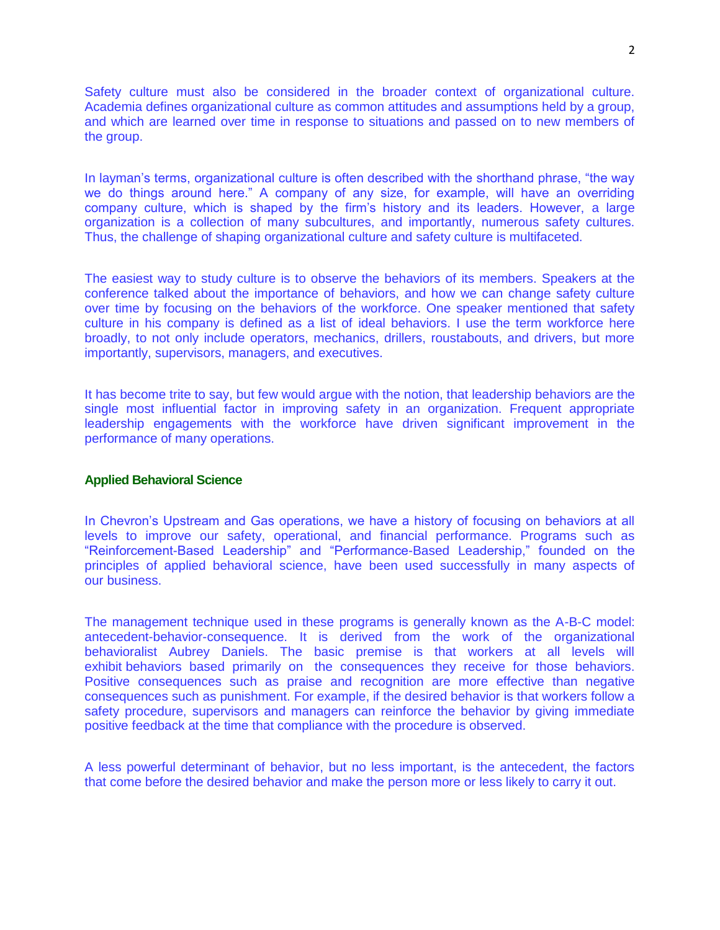Safety culture must also be considered in the broader context of organizational culture. Academia defines organizational culture as common attitudes and assumptions held by a group, and which are learned over time in response to situations and passed on to new members of the group.

In layman's terms, organizational culture is often described with the shorthand phrase, "the way we do things around here." A company of any size, for example, will have an overriding company culture, which is shaped by the firm's history and its leaders. However, a large organization is a collection of many subcultures, and importantly, numerous safety cultures. Thus, the challenge of shaping organizational culture and safety culture is multifaceted.

The easiest way to study culture is to observe the behaviors of its members. Speakers at the conference talked about the importance of behaviors, and how we can change safety culture over time by focusing on the behaviors of the workforce. One speaker mentioned that safety culture in his company is defined as a list of ideal behaviors. I use the term workforce here broadly, to not only include operators, mechanics, drillers, roustabouts, and drivers, but more importantly, supervisors, managers, and executives.

It has become trite to say, but few would argue with the notion, that leadership behaviors are the single most influential factor in improving safety in an organization. Frequent appropriate leadership engagements with the workforce have driven significant improvement in the performance of many operations.

### **Applied Behavioral Science**

In Chevron's Upstream and Gas operations, we have a history of focusing on behaviors at all levels to improve our safety, operational, and financial performance. Programs such as "Reinforcement-Based Leadership" and "Performance-Based Leadership," founded on the principles of applied behavioral science, have been used successfully in many aspects of our business.

The management technique used in these programs is generally known as the A-B-C model: antecedent-behavior-consequence. It is derived from the work of the organizational behavioralist Aubrey Daniels. The basic premise is that workers at all levels will exhibit behaviors based primarily on the consequences they receive for those behaviors. Positive consequences such as praise and recognition are more effective than negative consequences such as punishment. For example, if the desired behavior is that workers follow a safety procedure, supervisors and managers can reinforce the behavior by giving immediate positive feedback at the time that compliance with the procedure is observed.

A less powerful determinant of behavior, but no less important, is the antecedent, the factors that come before the desired behavior and make the person more or less likely to carry it out.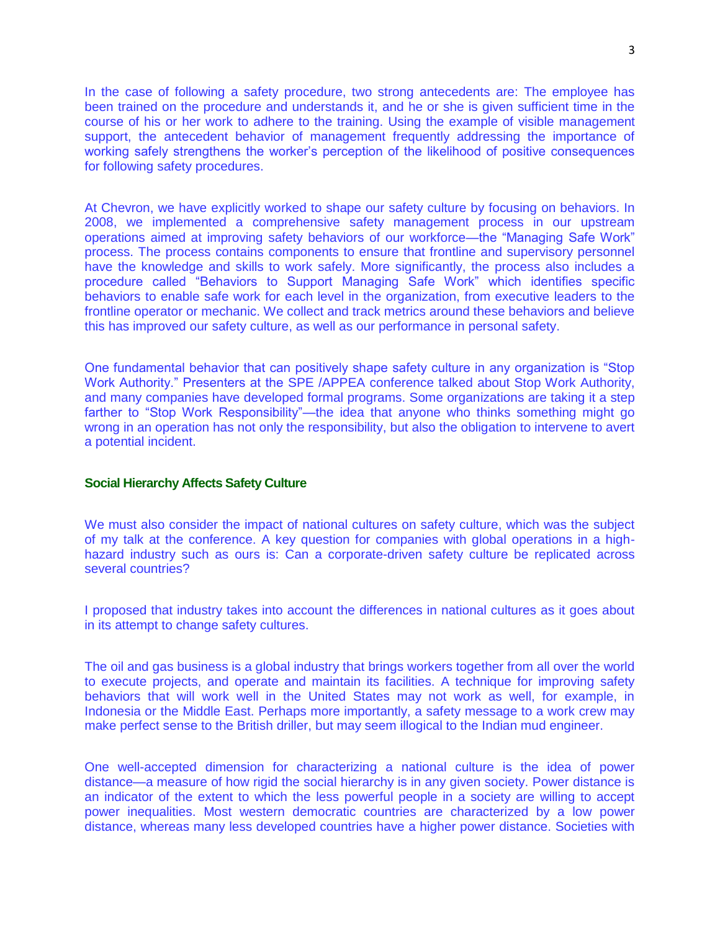In the case of following a safety procedure, two strong antecedents are: The employee has been trained on the procedure and understands it, and he or she is given sufficient time in the course of his or her work to adhere to the training. Using the example of visible management support, the antecedent behavior of management frequently addressing the importance of working safely strengthens the worker's perception of the likelihood of positive consequences for following safety procedures.

At Chevron, we have explicitly worked to shape our safety culture by focusing on behaviors. In 2008, we implemented a comprehensive safety management process in our upstream operations aimed at improving safety behaviors of our workforce—the "Managing Safe Work" process. The process contains components to ensure that frontline and supervisory personnel have the knowledge and skills to work safely. More significantly, the process also includes a procedure called "Behaviors to Support Managing Safe Work" which identifies specific behaviors to enable safe work for each level in the organization, from executive leaders to the frontline operator or mechanic. We collect and track metrics around these behaviors and believe this has improved our safety culture, as well as our performance in personal safety.

One fundamental behavior that can positively shape safety culture in any organization is "Stop Work Authority." Presenters at the SPE /APPEA conference talked about Stop Work Authority, and many companies have developed formal programs. Some organizations are taking it a step farther to "Stop Work Responsibility"—the idea that anyone who thinks something might go wrong in an operation has not only the responsibility, but also the obligation to intervene to avert a potential incident.

### **Social Hierarchy Affects Safety Culture**

We must also consider the impact of national cultures on safety culture, which was the subject of my talk at the conference. A key question for companies with global operations in a highhazard industry such as ours is: Can a corporate-driven safety culture be replicated across several countries?

I proposed that industry takes into account the differences in national cultures as it goes about in its attempt to change safety cultures.

The oil and gas business is a global industry that brings workers together from all over the world to execute projects, and operate and maintain its facilities. A technique for improving safety behaviors that will work well in the United States may not work as well, for example, in Indonesia or the Middle East. Perhaps more importantly, a safety message to a work crew may make perfect sense to the British driller, but may seem illogical to the Indian mud engineer.

One well-accepted dimension for characterizing a national culture is the idea of power distance—a measure of how rigid the social hierarchy is in any given society. Power distance is an indicator of the extent to which the less powerful people in a society are willing to accept power inequalities. Most western democratic countries are characterized by a low power distance, whereas many less developed countries have a higher power distance. Societies with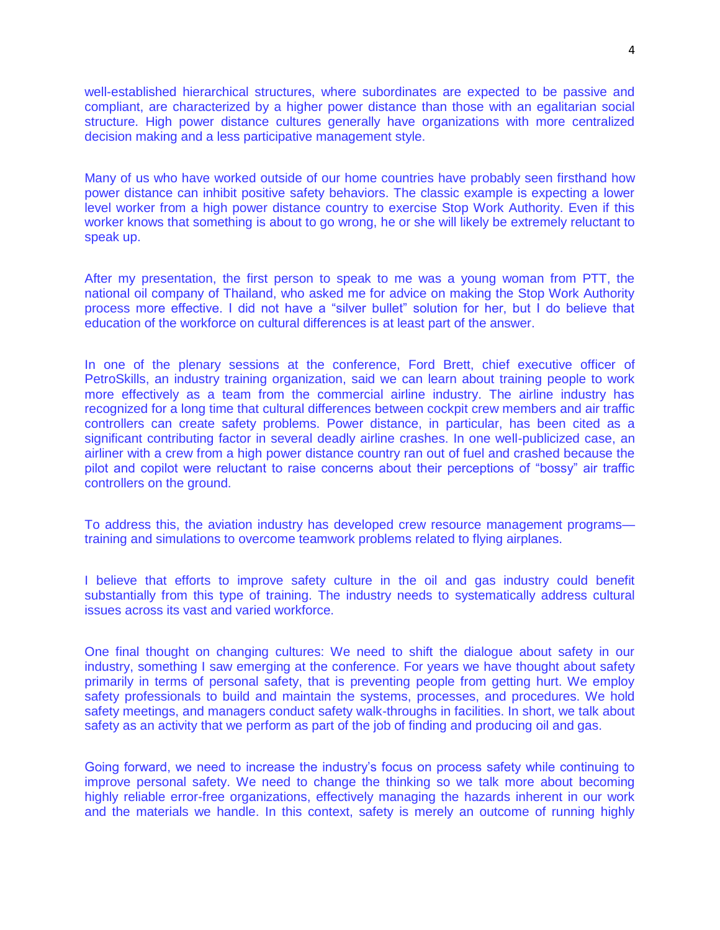well-established hierarchical structures, where subordinates are expected to be passive and compliant, are characterized by a higher power distance than those with an egalitarian social structure. High power distance cultures generally have organizations with more centralized decision making and a less participative management style.

Many of us who have worked outside of our home countries have probably seen firsthand how power distance can inhibit positive safety behaviors. The classic example is expecting a lower level worker from a high power distance country to exercise Stop Work Authority. Even if this worker knows that something is about to go wrong, he or she will likely be extremely reluctant to speak up.

After my presentation, the first person to speak to me was a young woman from PTT, the national oil company of Thailand, who asked me for advice on making the Stop Work Authority process more effective. I did not have a "silver bullet" solution for her, but I do believe that education of the workforce on cultural differences is at least part of the answer.

In one of the plenary sessions at the conference, Ford Brett, chief executive officer of PetroSkills, an industry training organization, said we can learn about training people to work more effectively as a team from the commercial airline industry. The airline industry has recognized for a long time that cultural differences between cockpit crew members and air traffic controllers can create safety problems. Power distance, in particular, has been cited as a significant contributing factor in several deadly airline crashes. In one well-publicized case, an airliner with a crew from a high power distance country ran out of fuel and crashed because the pilot and copilot were reluctant to raise concerns about their perceptions of "bossy" air traffic controllers on the ground.

To address this, the aviation industry has developed crew resource management programs training and simulations to overcome teamwork problems related to flying airplanes.

I believe that efforts to improve safety culture in the oil and gas industry could benefit substantially from this type of training. The industry needs to systematically address cultural issues across its vast and varied workforce.

One final thought on changing cultures: We need to shift the dialogue about safety in our industry, something I saw emerging at the conference. For years we have thought about safety primarily in terms of personal safety, that is preventing people from getting hurt. We employ safety professionals to build and maintain the systems, processes, and procedures. We hold safety meetings, and managers conduct safety walk-throughs in facilities. In short, we talk about safety as an activity that we perform as part of the job of finding and producing oil and gas.

Going forward, we need to increase the industry's focus on process safety while continuing to improve personal safety. We need to change the thinking so we talk more about becoming highly reliable error-free organizations, effectively managing the hazards inherent in our work and the materials we handle. In this context, safety is merely an outcome of running highly